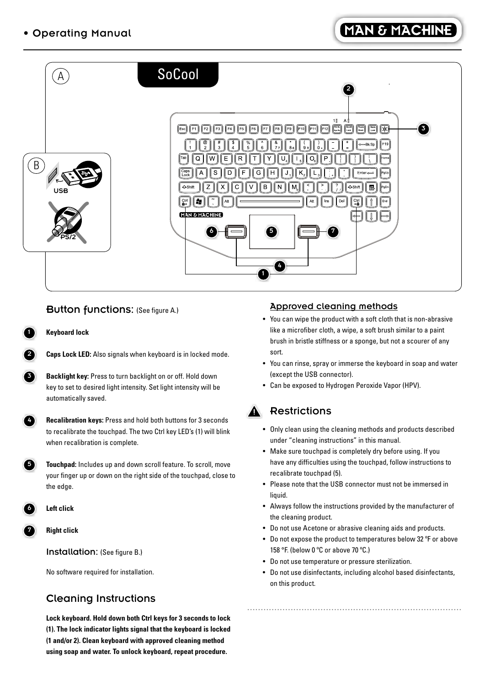

### Button functions: (See figure A.)

1 **Keyboard lock**



**Backlight key:** Press to turn backlight on or off. Hold down key to set to desired light intensity. Set light intensity will be automatically saved.

 4 **Recalibration keys:** Press and hold both buttons for 3 seconds to recalibrate the touchpad. The two Ctrl key LED's (1) will blink when recalibration is complete.

 5 **Touchpad:** Includes up and down scroll feature. To scroll, move your finger up or down on the right side of the touchpad, close to the edge.



7 **Right click**

Installation: (See figure B.)

No software required for installation.

## Cleaning Instructions

 **Lock keyboard. Hold down both Ctrl keys for 3 seconds to lock (1). The lock indicator lights signal that the keyboard is locked (1 and/or 2). Clean keyboard with approved cleaning method using soap and water. To unlock keyboard, repeat procedure.** 

#### Approved cleaning methods

- You can wipe the product with a soft cloth that is non-abrasive like a microfiber cloth, a wipe, a soft brush similar to a paint brush in bristle stiffness or a sponge, but not a scourer of any sort.
- You can rinse, spray or immerse the keyboard in soap and water (except the USB connector).
- Can be exposed to Hydrogen Peroxide Vapor (HPV).

# **Restrictions**

- Only clean using the cleaning methods and products described under "cleaning instructions" in this manual.
- Make sure touchpad is completely dry before using. If you have any difficulties using the touchpad, follow instructions to recalibrate touchpad (5).
- Please note that the USB connector must not be immersed in liquid.
- Always follow the instructions provided by the manufacturer of the cleaning product.
- Do not use Acetone or abrasive cleaning aids and products.
- Do not expose the product to temperatures below 32 ºF or above 158 °F. (below 0 ºC or above 70 ºC.)
- Do not use temperature or pressure sterilization.
- Do not use disinfectants, including alcohol based disinfectants, on this product.

...............................................................................